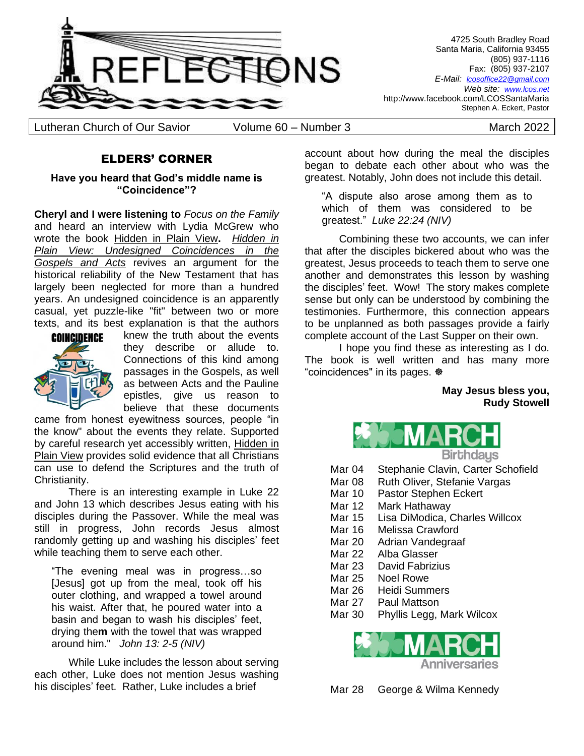

4725 South Bradley Road Santa Maria, California 93455 (805) 937-1116 Fax: (805) 937-2107 *E-Mail: lcosoffice22@gmail.com Web site: [www.lcos.net](http://www.lcos.net/)* http://www.facebook.com/LCOSSantaMaria Stephen A. Eckert, Pastor

Lutheran Church of Our Savior Volume 60 – Number 3 March 2022

## ELDERS' CORNER

**Have you heard that God's middle name is "Coincidence"?**

**Cheryl and I were listening to** *Focus on the Family* and heard an interview with Lydia McGrew who wrote the book Hidden in Plain View**.** *Hidden in Plain View: Undesigned Coincidences in the Gospels and Acts* revives an argument for the historical reliability of the New Testament that has largely been neglected for more than a hundred years. An undesigned coincidence is an apparently casual, yet puzzle-like "fit" between two or more texts, and its best explanation is that the authors



knew the truth about the events they describe or allude to. Connections of this kind among passages in the Gospels, as well as between Acts and the Pauline epistles, give us reason to believe that these documents

came from honest eyewitness sources, people "in the know" about the events they relate. Supported by careful research yet accessibly written, Hidden in Plain View provides solid evidence that all Christians can use to defend the Scriptures and the truth of Christianity.

There is an interesting example in Luke 22 and John 13 which describes Jesus eating with his disciples during the Passover. While the meal was still in progress, John records Jesus almost randomly getting up and washing his disciples' feet while teaching them to serve each other.

"The evening meal was in progress…so [Jesus] got up from the meal, took off his outer clothing, and wrapped a towel around his waist. After that, he poured water into a basin and began to wash his disciples' feet, drying the**m** with the towel that was wrapped around him." *John 13: 2-5 (NIV)*

While Luke includes the lesson about serving each other, Luke does not mention Jesus washing his disciples' feet. Rather, Luke includes a brief

account about how during the meal the disciples began to debate each other about who was the greatest. Notably, John does not include this detail.

"A dispute also arose among them as to which of them was considered to be greatest." *Luke 22:24 (NIV)*

Combining these two accounts, we can infer that after the disciples bickered about who was the greatest, Jesus proceeds to teach them to serve one another and demonstrates this lesson by washing the disciples' feet. Wow! The story makes complete sense but only can be understood by combining the testimonies. Furthermore, this connection appears to be unplanned as both passages provide a fairly complete account of the Last Supper on their own.

I hope you find these as interesting as I do. The book is well written and has many more "coincidences" in its pages.

### **May Jesus bless you, Rudy Stowell**



- Mar 04 Stephanie Clavin, Carter Schofield
- Mar 08 Ruth Oliver, Stefanie Vargas
- Mar 10 Pastor Stephen Eckert
- Mar 12 Mark Hathaway
- Mar 15 Lisa DiModica, Charles Willcox
- Mar 16 Melissa Crawford
- Mar 20 Adrian Vandegraaf
- Mar 22 Alba Glasser
- Mar 23 David Fabrizius
- Mar 25 Noel Rowe
- Mar 26 Heidi Summers
- Mar 27 Paul Mattson
- Mar 30 Phyllis Legg, Mark Wilcox

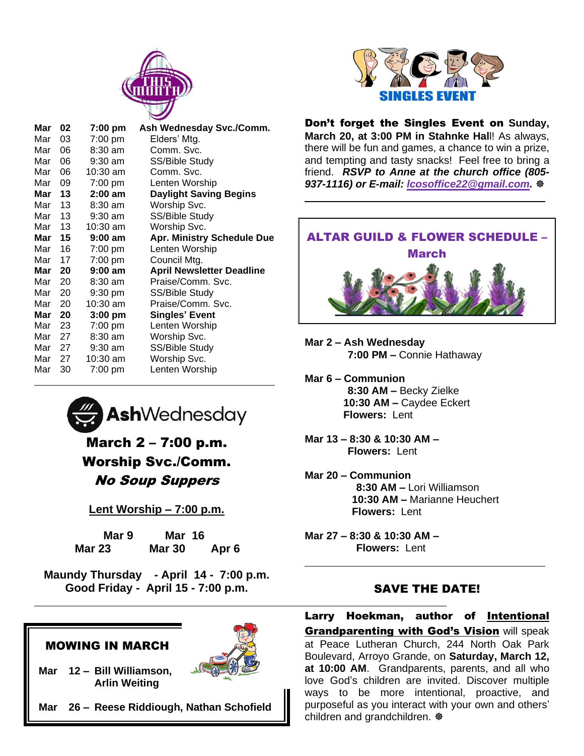

| Mar | 02 | 7:00 pm           | Ash Wednesday Svc./Comm.         |
|-----|----|-------------------|----------------------------------|
| Mar | 03 | 7:00 pm           | Elders' Mtg.                     |
| Mar | 06 | $8:30 \text{ am}$ | Comm. Svc.                       |
| Mar | 06 | $9:30$ am         | SS/Bible Study                   |
| Mar | 06 | 10:30 am          | Comm. Svc.                       |
| Mar | 09 | 7:00 pm           | Lenten Worship                   |
| Mar | 13 | $2:00$ am         | <b>Daylight Saving Begins</b>    |
| Mar | 13 | $8:30$ am         | Worship Svc.                     |
| Mar | 13 | 9:30 am           | SS/Bible Study                   |
| Mar | 13 | 10:30 am          | Worship Svc.                     |
| Mar | 15 | $9:00$ am         | Apr. Ministry Schedule Due       |
| Mar | 16 | 7:00 pm           | Lenten Worship                   |
| Mar | 17 | 7:00 pm           | Council Mtg.                     |
| Mar | 20 | $9:00$ am         | <b>April Newsletter Deadline</b> |
| Mar | 20 | $8:30$ am         | Praise/Comm. Svc.                |
| Mar | 20 | $9:30$ pm         | SS/Bible Study                   |
| Mar | 20 | 10:30 am          | Praise/Comm. Svc.                |
| Mar | 20 | $3:00$ pm         | <b>Singles' Event</b>            |
| Mar | 23 | 7:00 pm           | Lenten Worship                   |
| Mar | 27 | 8:30 am           | Worship Svc.                     |
| Mar | 27 | $9:30$ am         | SS/Bible Study                   |
| Mar | 27 | 10:30 am          | Worship Svc.                     |
| Mar | 30 | 7:00 pm           | Lenten Worship                   |
|     |    |                   |                                  |



March 2 – 7:00 p.m. Worship Svc./Comm. No Soup Suppers

**Lent Worship – 7:00 p.m.**

 **Mar 9 Mar 16 Mar 23 Mar 30 Apr 6**

**Maundy Thursday - April 14 - 7:00 p.m. Good Friday - April 15 - 7:00 p.m.**

# MOWING IN MARCH

**Mar 12 – Bill Williamson, Arlin Weiting**



**Mar 26 – Reese Riddiough, Nathan Schofield**



Don't forget the Singles Event on **Sunday, March 20, at 3:00 PM in Stahnke Hal**l! As always, there will be fun and games, a chance to win a prize, and tempting and tasty snacks! Feel free to bring a friend. *RSVP to Anne at the church office (805- 937-1116) or E-mail: [lcosoffice22@g](mailto:lcosoffice22@)mail.com.*



- **Mar 2 – Ash Wednesday 7:00 PM –** Connie Hathaway
- **Mar 6 – Communion 8:30 AM –** Becky Zielke **10:30 AM –** Caydee Eckert **Flowers:** Lent
- **Mar 13 – 8:30 & 10:30 AM – Flowers:** Lent
- **Mar 20 – Communion 8:30 AM –** Lori Williamson **10:30 AM –** Marianne Heuchert **Flowers:** Lent
- **Mar 27 – 8:30 & 10:30 AM – Flowers:** Lent

# SAVE THE DATE!

Larry Hoekman, author of Intentional **Grandparenting with God's Vision will speak** at Peace Lutheran Church, 244 North Oak Park Boulevard, Arroyo Grande, on **Saturday, March 12, at 10:00 AM**. Grandparents, parents, and all who love God's children are invited. Discover multiple ways to be more intentional, proactive, and purposeful as you interact with your own and others' children and grandchildren.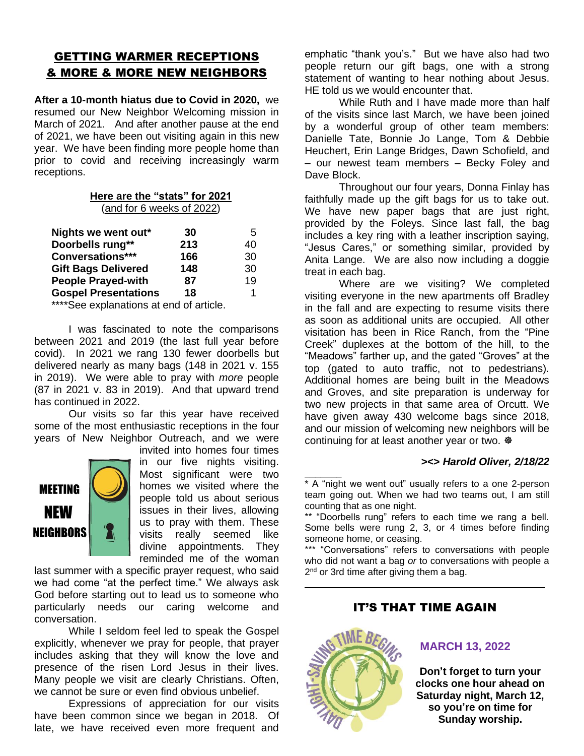# GETTING WARMER RECEPTIONS & MORE & MORE NEW NEIGHBORS

**After a 10-month hiatus due to Covid in 2020,** we resumed our New Neighbor Welcoming mission in March of 2021. And after another pause at the end of 2021, we have been out visiting again in this new year. We have been finding more people home than prior to covid and receiving increasingly warm receptions.

#### **Here are the "stats" for 2021** (and for 6 weeks of 2022)

| Nights we went out*         | 30  | 5  |
|-----------------------------|-----|----|
| Doorbells rung**            | 213 | 40 |
| Conversations***            | 166 | 30 |
| <b>Gift Bags Delivered</b>  | 148 | 30 |
| <b>People Prayed-with</b>   | 87  | 19 |
| <b>Gospel Presentations</b> | 18  |    |
|                             |     |    |

\*\*\*\*See explanations at end of article.

I was fascinated to note the comparisons between 2021 and 2019 (the last full year before covid). In 2021 we rang 130 fewer doorbells but delivered nearly as many bags (148 in 2021 v. 155 in 2019). We were able to pray with *more* people (87 in 2021 v. 83 in 2019). And that upward trend has continued in 2022.

Our visits so far this year have received some of the most enthusiastic receptions in the four years of New Neighbor Outreach, and we were



invited into homes four times in our five nights visiting. Most significant were two homes we visited where the people told us about serious issues in their lives, allowing us to pray with them. These visits really seemed like divine appointments. They reminded me of the woman

last summer with a specific prayer request, who said we had come "at the perfect time." We always ask God before starting out to lead us to someone who particularly needs our caring welcome and conversation.

While I seldom feel led to speak the Gospel explicitly, whenever we pray for people, that prayer includes asking that they will know the love and presence of the risen Lord Jesus in their lives. Many people we visit are clearly Christians. Often, we cannot be sure or even find obvious unbelief.

Expressions of appreciation for our visits have been common since we began in 2018. Of late, we have received even more frequent and

emphatic "thank you's." But we have also had two people return our gift bags, one with a strong statement of wanting to hear nothing about Jesus. HE told us we would encounter that.

While Ruth and I have made more than half of the visits since last March, we have been joined by a wonderful group of other team members: Danielle Tate, Bonnie Jo Lange, Tom & Debbie Heuchert, Erin Lange Bridges, Dawn Schofield, and – our newest team members – Becky Foley and Dave Block.

Throughout our four years, Donna Finlay has faithfully made up the gift bags for us to take out. We have new paper bags that are just right, provided by the Foleys. Since last fall, the bag includes a key ring with a leather inscription saying, "Jesus Cares," or something similar, provided by Anita Lange. We are also now including a doggie treat in each bag.

Where are we visiting? We completed visiting everyone in the new apartments off Bradley in the fall and are expecting to resume visits there as soon as additional units are occupied. All other visitation has been in Rice Ranch, from the "Pine Creek" duplexes at the bottom of the hill, to the "Meadows" farther up, and the gated "Groves" at the top (gated to auto traffic, not to pedestrians). Additional homes are being built in the Meadows and Groves, and site preparation is underway for two new projects in that same area of Orcutt. We have given away 430 welcome bags since 2018, and our mission of welcoming new neighbors will be continuing for at least another year or two.

#### **><>** *Harold Oliver, 2/18/22*

IT'S THAT TIME AGAIN



**\_\_\_\_\_\_\_**

 **MARCH 13, 2022**

**Don't forget to turn your clocks one hour ahead on Saturday night, March 12, so you're on time for Sunday worship.**

<sup>\*</sup> A "night we went out" usually refers to a one 2-person team going out. When we had two teams out, I am still counting that as one night.

<sup>\*\* &</sup>quot;Doorbells rung" refers to each time we rang a bell. Some bells were rung 2, 3, or 4 times before finding someone home, or ceasing.

<sup>\*\*\* &</sup>quot;Conversations" refers to conversations with people who did not want a bag *or* to conversations with people a 2<sup>nd</sup> or 3rd time after giving them a bag.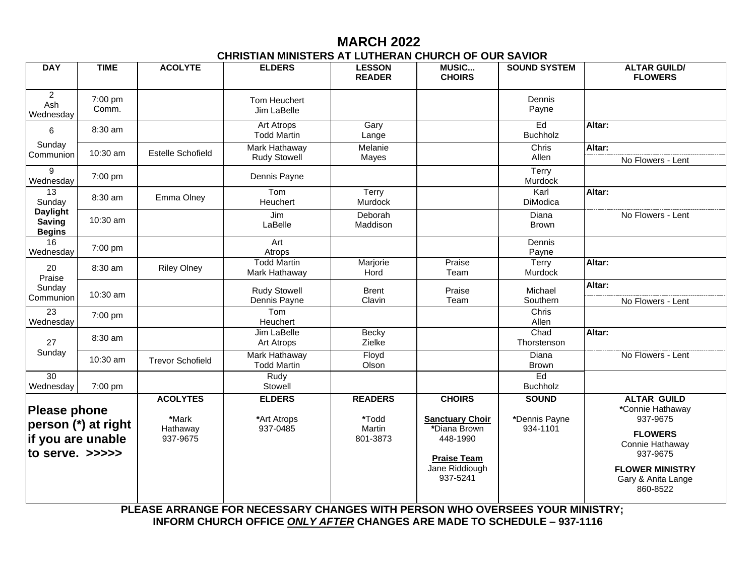## **MARCH 2022 CHRISTIAN MINISTERS AT LUTHERAN CHURCH OF OUR SAVIOR**

| <b>DAY</b>                                                        | <b>TIME</b>         | <b>ACOLYTE</b>                                   | <b>ELDERS</b>                            | <b>LESSON</b><br><b>READER</b>                | <b>MUSIC</b><br><b>CHOIRS</b>                                                                                           | <b>SOUND SYSTEM</b>                       | <b>ALTAR GUILD/</b><br><b>FLOWERS</b>                                                                                                                           |
|-------------------------------------------------------------------|---------------------|--------------------------------------------------|------------------------------------------|-----------------------------------------------|-------------------------------------------------------------------------------------------------------------------------|-------------------------------------------|-----------------------------------------------------------------------------------------------------------------------------------------------------------------|
| $\sqrt{2}$<br>Ash<br>Wednesday                                    | 7:00 pm<br>Comm.    |                                                  | Tom Heuchert<br>Jim LaBelle              |                                               |                                                                                                                         | Dennis<br>Payne                           |                                                                                                                                                                 |
| 6                                                                 | 8:30 am             |                                                  | Art Atrops<br><b>Todd Martin</b>         | Gary<br>Lange                                 |                                                                                                                         | Ed<br><b>Buchholz</b>                     | Altar:                                                                                                                                                          |
| Sunday<br>Communion                                               | 10:30 am            | <b>Estelle Schofield</b>                         | Mark Hathaway<br><b>Rudy Stowell</b>     | Melanie<br>Mayes                              |                                                                                                                         | Chris<br>Allen                            | Altar:<br>No Flowers - Lent                                                                                                                                     |
| 9<br>Wednesday                                                    | 7:00 pm             |                                                  | Dennis Payne                             |                                               |                                                                                                                         | Terry<br>Murdock                          |                                                                                                                                                                 |
| 13<br>Sunday<br><b>Daylight</b><br><b>Saving</b><br><b>Begins</b> | 8:30 am             | Emma Olney                                       | Tom<br>Heuchert                          | Terry<br>Murdock                              |                                                                                                                         | Karl<br>DiModica                          | Altar:                                                                                                                                                          |
|                                                                   | 10:30 am            |                                                  | Jim<br>LaBelle                           | Deborah<br>Maddison                           |                                                                                                                         | Diana<br><b>Brown</b>                     | No Flowers - Lent                                                                                                                                               |
| 16<br>Wednesday                                                   | 7:00 pm             |                                                  | Art<br>Atrops                            |                                               |                                                                                                                         | Dennis<br>Payne                           |                                                                                                                                                                 |
| 20<br>Praise                                                      | 8:30 am             | <b>Riley Olney</b>                               | <b>Todd Martin</b><br>Mark Hathaway      | Marjorie<br>Hord                              | Praise<br>Team                                                                                                          | Terry<br>Murdock                          | Altar:                                                                                                                                                          |
| Sunday<br>Communion                                               | 10:30 am            |                                                  | <b>Rudy Stowell</b><br>Dennis Payne      | <b>Brent</b><br>Clavin                        | Praise<br>Team                                                                                                          | Michael<br>Southern                       | Altar:<br>No Flowers - Lent                                                                                                                                     |
| 23<br>Wednesday                                                   | 7:00 pm             |                                                  | Tom<br>Heuchert                          |                                               |                                                                                                                         | Chris<br>Allen                            |                                                                                                                                                                 |
| 27<br>Sunday                                                      | 8:30 am             |                                                  | Jim LaBelle<br>Art Atrops                | Becky<br>Zielke                               |                                                                                                                         | Chad<br>Thorstenson                       | Altar:                                                                                                                                                          |
|                                                                   | 10:30 am            | <b>Trevor Schofield</b>                          | Mark Hathaway<br><b>Todd Martin</b>      | Floyd<br>Olson                                |                                                                                                                         | Diana<br><b>Brown</b>                     | No Flowers - Lent                                                                                                                                               |
| 30<br>Wednesday                                                   | 7:00 pm             |                                                  | Rudy<br>Stowell                          |                                               |                                                                                                                         | Ed<br><b>Buchholz</b>                     |                                                                                                                                                                 |
| <b>Please phone</b><br>if you are unable<br>to serve. >>>>>       | person (*) at right | <b>ACOLYTES</b><br>*Mark<br>Hathaway<br>937-9675 | <b>ELDERS</b><br>*Art Atrops<br>937-0485 | <b>READERS</b><br>*Todd<br>Martin<br>801-3873 | <b>CHOIRS</b><br><b>Sanctuary Choir</b><br>*Diana Brown<br>448-1990<br><b>Praise Team</b><br>Jane Riddiough<br>937-5241 | <b>SOUND</b><br>*Dennis Payne<br>934-1101 | <b>ALTAR GUILD</b><br>*Connie Hathaway<br>937-9675<br><b>FLOWERS</b><br>Connie Hathaway<br>937-9675<br><b>FLOWER MINISTRY</b><br>Gary & Anita Lange<br>860-8522 |

 **PLEASE ARRANGE FOR NECESSARY CHANGES WITH PERSON WHO OVERSEES YOUR MINISTRY; INFORM CHURCH OFFICE** *ONLY AFTER* **CHANGES ARE MADE TO SCHEDULE – 937-1116**